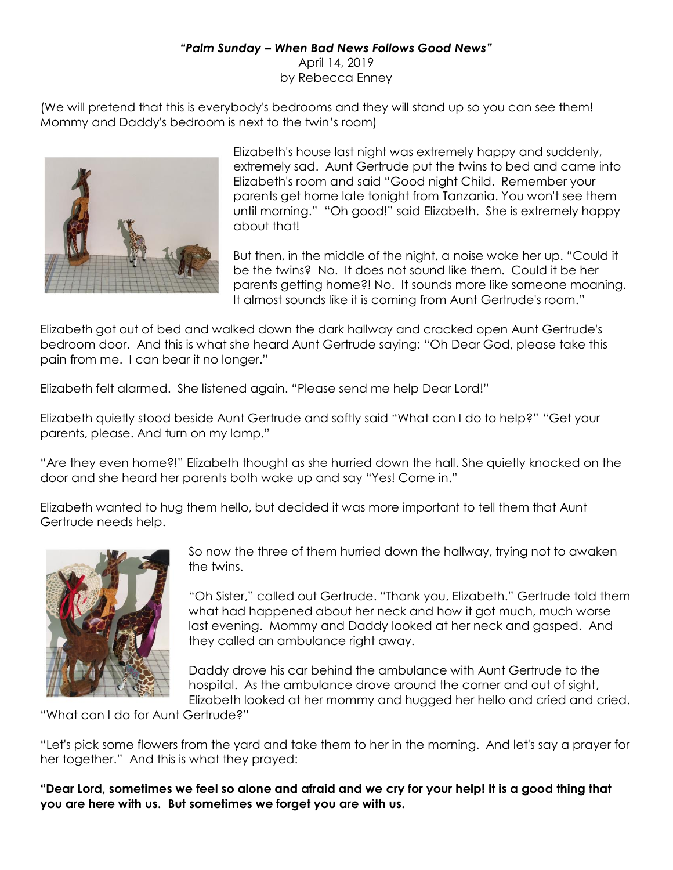## *"Palm Sunday – When Bad News Follows Good News"*

April 14, 2019 by Rebecca Enney

(We will pretend that this is everybody's bedrooms and they will stand up so you can see them! Mommy and Daddy's bedroom is next to the twin's room)



Elizabeth's house last night was extremely happy and suddenly, extremely sad. Aunt Gertrude put the twins to bed and came into Elizabeth's room and said "Good night Child. Remember your parents get home late tonight from Tanzania. You won't see them until morning." "Oh good!" said Elizabeth. She is extremely happy about that!

But then, in the middle of the night, a noise woke her up. "Could it be the twins? No. It does not sound like them. Could it be her parents getting home?! No. It sounds more like someone moaning. It almost sounds like it is coming from Aunt Gertrude's room."

Elizabeth got out of bed and walked down the dark hallway and cracked open Aunt Gertrude's bedroom door. And this is what she heard Aunt Gertrude saying: "Oh Dear God, please take this pain from me. I can bear it no longer."

Elizabeth felt alarmed. She listened again. "Please send me help Dear Lord!"

Elizabeth quietly stood beside Aunt Gertrude and softly said "What can I do to help?" "Get your parents, please. And turn on my lamp."

"Are they even home?!" Elizabeth thought as she hurried down the hall. She quietly knocked on the door and she heard her parents both wake up and say "Yes! Come in."

Elizabeth wanted to hug them hello, but decided it was more important to tell them that Aunt Gertrude needs help.



So now the three of them hurried down the hallway, trying not to awaken the twins.

"Oh Sister," called out Gertrude. "Thank you, Elizabeth." Gertrude told them what had happened about her neck and how it got much, much worse last evening. Mommy and Daddy looked at her neck and gasped. And they called an ambulance right away.

Daddy drove his car behind the ambulance with Aunt Gertrude to the hospital. As the ambulance drove around the corner and out of sight, Elizabeth looked at her mommy and hugged her hello and cried and cried.

"What can I do for Aunt Gertrude?"

"Let's pick some flowers from the yard and take them to her in the morning. And let's say a prayer for her together." And this is what they prayed:

**"Dear Lord, sometimes we feel so alone and afraid and we cry for your help! It is a good thing that you are here with us. But sometimes we forget you are with us.**